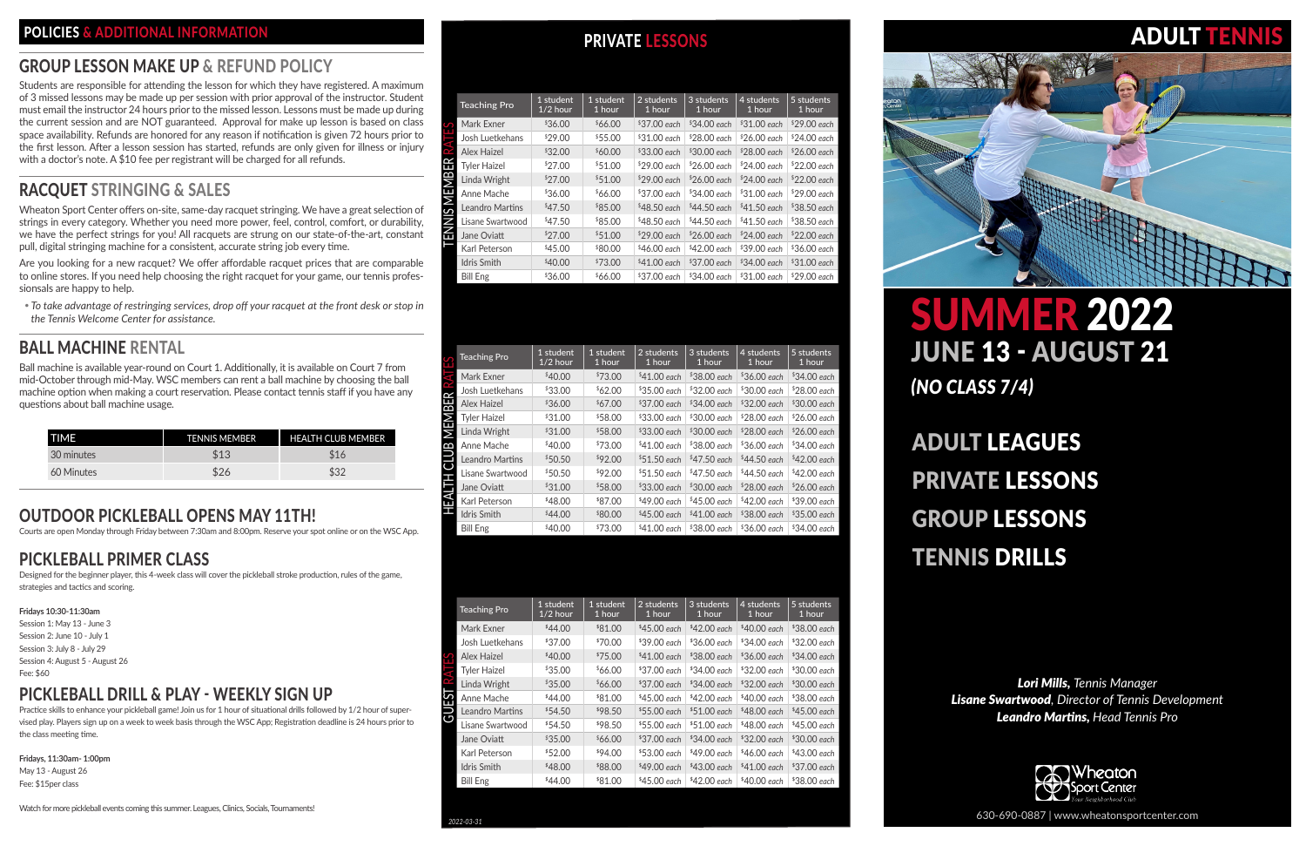*Lori Mills, Tennis Manager Lisane Swartwood, Director of Tennis Development Leandro Martins, Head Tennis Pro*



# ADULT LEAGUES PRIVATE LESSONS GROUP LESSONS TENNIS DRILLS

Students are responsible for attending the lesson for which they have registered. A maximum of 3 missed lessons may be made up per session with prior approval of the instructor. Student must email the instructor 24 hours prior to the missed lesson. Lessons must be made up during the current session and are NOT guaranteed. Approval for make up lesson is based on class space availability. Refunds are honored for any reason if notification is given 72 hours prior to the first lesson. After a lesson session has started, refunds are only given for illness or injury with a doctor's note. A \$10 fee per registrant will be charged for all refunds.

630-690-0887 | www.wheatonsportcenter.com

# SUMMER 2022 JUNE 13 - AUGUST 21 *(NO CLASS 7/4)*

# POLICIES & ADDITIONAL INFORMATION **POLICIES** AND PRIVATE LESSONS

# GROUP LESSON MAKE UP & REFUND POLICY

# RACQUET STRINGING & SALES

Wheaton Sport Center offers on-site, same-day racquet stringing. We have a great selection of strings in every category. Whether you need more power, feel, control, comfort, or durability, we have the perfect strings for you! All racquets are strung on our state-of-the-art, constant pull, digital stringing machine for a consistent, accurate string job every time.

Are you looking for a new racquet? We offer affordable racquet prices that are comparable to online stores. If you need help choosing the right racquet for your game, our tennis professionsals are happy to help.

y *To take advantage of restringing services, drop off your racquet at the front desk or stop in the Tennis Welcome Center for assistance.*

# BALL MACHINE RENTAL

Ball machine is available year-round on Court 1. Additionally, it is available on Court 7 from mid-October through mid-May. WSC members can rent a ball machine by choosing the ball machine option when making a court reservation. Please contact tennis staff if you have any questions about ball machine usage.

| ΠΜΕ        | <b>TENNIS MEMBER</b> | <b>HEALTH CLUB MEMBER</b> |
|------------|----------------------|---------------------------|
| 30 minutes | \$13                 | \$16                      |
| 60 Minutes | \$26                 | \$32                      |

# OUTDOOR PICKLEBALL OPENS MAY 11TH!

Courts are open Monday through Friday between 7:30am and 8:00pm. Reserve your spot online or on the WSC App.

# PICKLEBALL PRIMER CLASS

Designed for the beginner player, this 4-week class will cover the pickleball stroke production, rules of the game, strategies and tactics and scoring.

#### **Fridays 10:30-11:30am**

Session 1: May 13 - June 3 Session 2: June 10 - July 1 Session 3: July 8 - July 29 Session 4: August 5 - August 26 Fee: \$60

# PICKLEBALL DRILL & PLAY - WEEKLY SIGN UP

Practice skills to enhance your pickleball game! Join us for 1 hour of situational drills followed by 1/2 hour of supervised play. Players sign up on a week to week basis through the WSC App; Registration deadline is 24 hours prior to the class meeting time.

**Fridays, 11:30am- 1:00pm** May 13 - August 26 Fee: \$15per class

Watch for more pickleball events coming this summer. Leagues, Clinics, Socials, Tournaments!

|              | <b>Teaching Pro</b>    | 1 student<br>$1/2$ hour | 1 student<br>1 hour | 2 students<br>1 hour | 3 students<br>1 hour | 4 students<br>1 hour | 5 students<br>1 hour |
|--------------|------------------------|-------------------------|---------------------|----------------------|----------------------|----------------------|----------------------|
|              | Mark Exner             | \$36.00                 | \$66.00             | $$37.00$ each        | $$34.00$ each        | $$31.00$ each        | $$29.00$ each        |
|              | Josh Luetkehans        | \$29.00                 | \$55.00             | $$31.00$ each        | $$28.00$ each        | $$26.00$ each        | $$24.00$ each        |
| $\sim$       | Alex Haizel            | \$32.00                 | \$60.00             | $$33.00$ each        | $$30.00$ each        | $$28.00$ each        | $$26.00$ each        |
| 臣            | <b>Tyler Haizel</b>    | \$27.00                 | \$51.00             | $$29.00$ each        | $$26.00$ each        | $$24.00$ each        | $$22.00$ each        |
|              | Linda Wright           | \$27.00                 | \$51.00             | $$29.00$ each        | $$26.00$ each        | $$24.00$ each        | $$22.00$ each        |
| <b>MEMBI</b> | Anne Mache             | \$36.00                 | \$66.00             | $$37.00$ each        | $$34.00$ each        | $$31.00$ each        | $$29.00$ each        |
| <u>ഗ</u>     | <b>Leandro Martins</b> | \$47.50                 | \$85.00             | $$48.50$ each        | $$44.50$ each        | $$41.50$ each        | $$38.50$ each        |
| Z            | Lisane Swartwood       | \$47.50                 | \$85.00             | $$48.50$ each        | \$44.50 each         | $$41.50$ each        | $$38.50$ each        |
| 叾            | Jane Oviatt            | \$27.00                 | \$51.00             | $$29.00$ each        | $$26.00$ each        | $$24.00$ each        | $$22.00$ each        |
|              | Karl Peterson          | \$45.00                 | \$80.00             | $$46.00$ each        | $$42.00$ each        | $$39.00$ each        | $$36.00$ each        |
|              | <b>Idris Smith</b>     | \$40.00                 | \$73.00             | $$41.00$ each        | $$37.00$ each        | $$34.00$ each        | $$31.00$ each        |
|              | <b>Bill Eng</b>        | \$36.00                 | \$66.00             | $$37.00$ each        | $$34.00$ each        | $$31.00$ each        | $$29.00$ each        |

| Mark Exner                                      | °36.UU                              | $0.00*$             | °37.UU each         | °34.UU each            | *31.UU each   | *29.00 each            |
|-------------------------------------------------|-------------------------------------|---------------------|---------------------|------------------------|---------------|------------------------|
| Josh Luetkehans                                 | \$29.00                             | \$55.00             | \$31.00 each        | $$28.00$ each          | $$26.00$ each | $$24.00$ each          |
| <b>TENNIS MEMBER RATES</b><br>Alex Haizel       | \$32.00                             | \$60.00             | \$33.00 each        | \$30.00 each           | \$28.00 each  | $$26.00$ each          |
| <b>Tyler Haizel</b>                             | \$27.00                             | \$51.00             | \$29.00 each        | $$26.00$ each          | \$24.00 each  | $$22.00$ each          |
| Linda Wright                                    | \$27.00                             | \$51.00             | \$29.00 each        | \$26.00 each           | \$24.00 each  | \$22.00 each           |
| Anne Mache                                      | \$36.00                             | \$66.00             | \$37.00 each        | \$34.00 each           | \$31.00 each  | $$29.00$ each          |
| Leandro Martins                                 | \$47.50                             | \$85.00             | $$48.50$ each       | \$44.50 each           | $$41.50$ each | $$38.50$ each          |
| Lisane Swartwood                                | \$47.50                             | \$85.00             | $$48.50$ each       | \$44.50 each           | $$41.50$ each | $$38.50$ each          |
| Jane Oviatt                                     | \$27.00                             | \$51.00             | \$29.00 each        | \$26.00 each           | \$24.00 each  | $$22.00$ each          |
| Karl Peterson                                   | \$45.00                             | \$80.00             | \$46.00 each        | \$42.00 each           | \$39.00 each  | \$36.00 each           |
| Idris Smith                                     | \$40.00                             | \$73.00             | \$41.00 each        | \$37.00 each           | \$34.00 each  | $$31.00$ each          |
| <b>Bill Eng</b>                                 | \$36.00                             | \$66.00             | \$37.00 each        | \$34.00 each           | \$31.00 each  | \$29.00 each           |
|                                                 | 1 student                           | 1 student           | 2 students          | 3 students             | 4 students    | 5 students             |
| <b>Teaching Pro</b><br>HEALTH CLUB MEMBER RATES | $1/2$ hour                          | 1 hour              | 1 hour              | 1 hour                 | 1 hour        | 1 hour                 |
| Mark Exner                                      | \$40.00                             | \$73.00             | \$41.00 each        | \$38.00 each           | \$36.00 each  | \$34.00 each           |
| Josh Luetkehans                                 | \$33.00                             | \$62.00             | $$35.00$ each       | \$32.00 each           | \$30.00 each  | \$28.00 each           |
| Alex Haizel                                     | \$36.00                             | \$67.00             | \$37.00 each        | \$34.00 each           | \$32.00 each  | \$30.00 each           |
| <b>Tyler Haizel</b>                             | \$31.00                             | \$58.00             | \$33.00 each        | \$30.00 each           | $$28.00$ each | \$26.00 each           |
| Linda Wright                                    | \$31.00                             | \$58.00             | \$33.00 each        | \$30.00 each           | $$28.00$ each | \$26.00 each           |
| Anne Mache                                      | \$40.00                             | \$73.00             | \$41.00 each        | \$38.00 each           | \$36.00 each  | \$34.00 each           |
| Leandro Martins                                 | \$50.50                             | \$92.00             | \$51.50 each        | \$47.50 each           | \$44.50 each  | \$42.00 each           |
| Lisane Swartwood                                | \$50.50                             | \$92.00             | \$51.50 each        | \$47.50 each           | \$44.50 each  | \$42.00 each           |
| Jane Oviatt                                     | \$31.00                             | \$58.00             | \$33.00 each        | \$30.00 each           | \$28.00 each  | \$26.00 each           |
| Karl Peterson                                   | \$48.00                             | \$87.00             | \$49.00 each        | $$45.00$ each          | \$42.00 each  | \$39.00 each           |
| Idris Smith                                     | \$44.00                             | \$80.00             | \$45.00 each        | $$41.00$ each          | \$38.00 each  | \$35.00 each           |
| <b>Bill Eng</b>                                 | \$40.00                             | \$73.00             | $$41.00$ each       | $$38.00$ each          | $$36.00$ each | \$34.00 each           |
|                                                 | $\vert$ 1 student $\vert$ 1 student |                     | $\sqrt{2}$ students | $\frac{1}{3}$ students | $4$ students  | $\frac{1}{5}$ students |
| <b>Teaching Pro</b>                             | $1/2$ hour                          | 1 hour              | 1 hour              | 1 hour                 | 1 hour        | 1 hour                 |
| Mark Exner                                      | \$44.00                             | \$81.00             | \$45.00 each        | \$42.00 each           | \$40.00 each  | \$38.00 each           |
| Josh Luetkehans                                 | \$37.00                             | <sup>\$</sup> 70.00 | \$39.00 each        | \$36.00 each           | \$34.00 each  | \$32.00 each           |
| Alex Haizel                                     | \$40.00                             | \$75.00             | $$41.00$ each       | \$38.00 each           | \$36.00 each  | \$34.00 each           |
| <b>Tyler Haizel</b>                             | \$35.00                             | \$66.00             | \$37.00 each        | \$34.00 each           | \$32.00 each  | \$30.00 each           |
| Linda Wright                                    | \$35.00                             | \$66.00             | \$37.00 each        | \$34.00 each           | \$32.00 each  | \$30.00 each           |
| Anne Mache                                      | \$44.00                             | \$81.00             | \$45.00 each        | \$42.00 each           | \$40.00 each  | \$38.00 each           |
|                                                 |                                     | \$98.50             | \$55.00 each        | \$51.00 each           | \$48.00 each  | \$45.00 each           |
| Leandro Martins                                 | \$54.50                             |                     |                     |                        |               |                        |
| Lisane Swartwood                                | \$54.50                             | \$98.50             | \$55.00 each        | \$51.00 each           | \$48.00 each  | \$45.00 each           |
| Jane Oviatt                                     | \$35.00                             | \$66.00             | \$37.00 each        | \$34.00 each           | \$32.00 each  | \$30.00 each           |
| Karl Peterson                                   | \$52.00                             | \$94.00             | \$53.00 each        | \$49.00 each           | \$46.00 each  | \$43.00 each           |
| Idris Smith                                     | \$48.00<br>\$44.00                  | \$88.00             | \$49.00 each        | \$43.00 each           | \$41.00 each  | \$37.00 each           |



# **ADULT TEN**

| <b>Teaching Pro</b>  | 1 student<br>$1/2$ hour | 1 student<br>1 hour | 2 students<br>1 hour | 3 students<br>1 hour | 4 students<br>1 hour | 5 students<br>1 hour |
|----------------------|-------------------------|---------------------|----------------------|----------------------|----------------------|----------------------|
| Mark Exner           | \$40.00                 | \$73.00             | $$41.00$ each        | $$38.00$ each        | $$36.00$ each        | \$34.00 each         |
| Josh Luetkehans      | \$33.00                 | \$62.00             | $$35.00$ each        | $$32.00$ each        | $$30.00$ each        | $$28.00$ each        |
| <b>Alex Haizel</b>   | \$36.00                 | \$67.00             | $$37.00$ each        | $$34.00$ each        | $$32.00$ each        | \$30.00 each         |
| <b>Tyler Haizel</b>  | \$31.00                 | \$58.00             | $$33.00$ each        | $$30.00$ each        | $$28.00$ each        | $$26.00$ each        |
| Linda Wright         | \$31.00                 | \$58.00             | $$33.00$ each        | $$30.00$ each        | $$28.00$ each        | $$26.00$ each        |
| Anne Mache           | \$40.00                 | \$73.00             | $$41.00$ each        | $$38.00$ each        | $$36.00$ each        | $$34.00$ each        |
| 己<br>Leandro Martins | \$50.50                 | \$92.00             | $$51.50$ each        | $$47.50$ each        | $$44.50$ each        | $$42.00$ each        |
| Lisane Swartwood     | \$50.50                 | \$92.00             | $$51.50$ each        | $$47.50$ each        | $$44.50$ each        | $$42.00$ each        |
| Jane Oviatt          | \$31.00                 | \$58.00             | $$33.00$ each        | $$30.00$ each        | $$28.00$ each        | $$26.00$ each        |
| Karl Peterson        | \$48.00                 | \$87.00             | $$49.00$ each        | $$45.00$ each        | $$42.00$ each        | \$39.00 each         |
| <b>Idris Smith</b>   | \$44.00                 | \$80.00             | $$45.00$ each        | $$41.00$ each        | $$38.00$ each        | $$35.00$ each        |
| <b>Bill Eng</b>      | \$40.00                 | \$73.00             | $$41.00$ each        | \$38.00 each         | $$36.00$ each        | $$34.00$ each        |